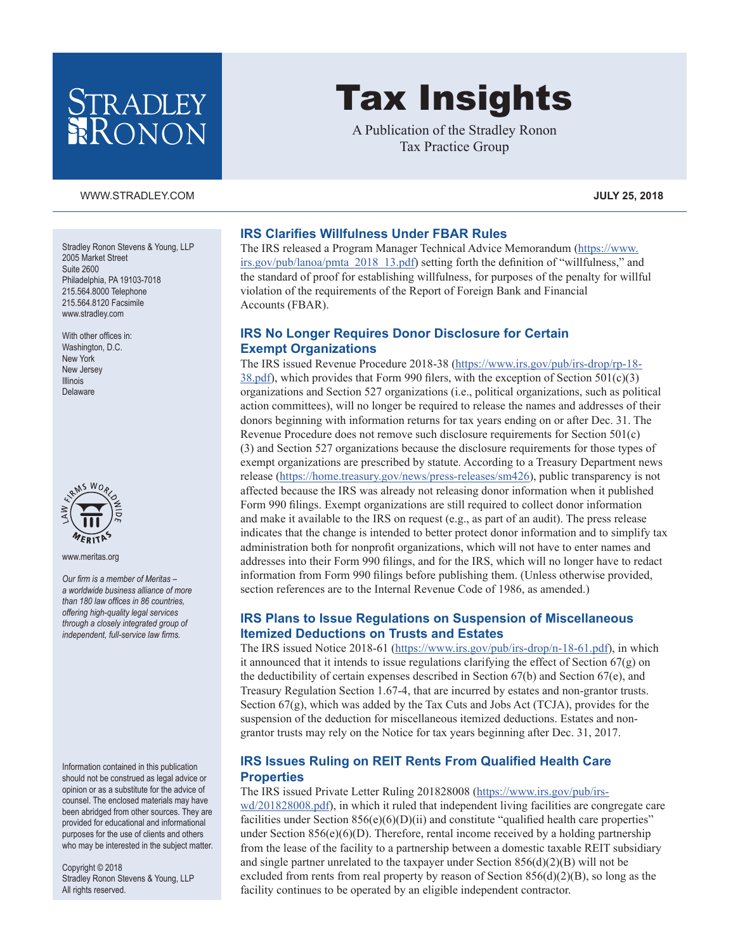## **TRADLEY** RONON

#### [WWW.STRADLEY.COM](www.stradley.com) **JULY 25, 2018**

Stradley Ronon Stevens & Young, LLP 2005 Market Street Suite 2600 Philadelphia, PA 19103-7018 215.564.8000 Telephone 215.564.8120 Facsimile [www.stradley.com](http://www.stradley.com)

With other offices in: Washington, D.C. New York New Jersey Illinois Delaware



[www.meritas.org](http://www.meritas.org)

*Our firm is a member of Meritas – a worldwide business alliance of more than 180 law offices in 86 countries, offering high-quality legal services through a closely integrated group of independent, full-service law firms.*

Information contained in this publication should not be construed as legal advice or opinion or as a substitute for the advice of counsel. The enclosed materials may have been abridged from other sources. They are provided for educational and informational purposes for the use of clients and others who may be interested in the subject matter.

Copyright © 2018 Stradley Ronon Stevens & Young, LLP All rights reserved.

# Tax Insights

A Publication of the Stradley Ronon Tax Practice Group

#### **IRS Clarifies Willfulness Under FBAR Rules**

The IRS released a Program Manager Technical Advice Memorandum [\(https://www.](https://www.irs.gov/pub/lanoa/pmta_2018_13.pdf) [irs.gov/pub/lanoa/pmta\\_2018\\_13.pdf](https://www.irs.gov/pub/lanoa/pmta_2018_13.pdf)) setting forth the definition of "willfulness," and the standard of proof for establishing willfulness, for purposes of the penalty for willful violation of the requirements of the Report of Foreign Bank and Financial Accounts (FBAR).

#### **IRS No Longer Requires Donor Disclosure for Certain Exempt Organizations**

The IRS issued Revenue Procedure 2018-38 ([https://www.irs.gov/pub/irs-drop/rp-18-](https://www.irs.gov/pub/irs-drop/rp-18-38.pdf) [38.pdf](https://www.irs.gov/pub/irs-drop/rp-18-38.pdf)), which provides that Form 990 filers, with the exception of Section  $501(c)(3)$ organizations and Section 527 organizations (i.e., political organizations, such as political action committees), will no longer be required to release the names and addresses of their donors beginning with information returns for tax years ending on or after Dec. 31. The Revenue Procedure does not remove such disclosure requirements for Section 501(c) (3) and Section 527 organizations because the disclosure requirements for those types of exempt organizations are prescribed by statute. According to a Treasury Department news release ([https://home.treasury.gov/news/press-releases/sm426\)](https://home.treasury.gov/news/press-releases/sm426), public transparency is not affected because the IRS was already not releasing donor information when it published Form 990 filings. Exempt organizations are still required to collect donor information and make it available to the IRS on request (e.g., as part of an audit). The press release indicates that the change is intended to better protect donor information and to simplify tax administration both for nonprofit organizations, which will not have to enter names and addresses into their Form 990 filings, and for the IRS, which will no longer have to redact information from Form 990 filings before publishing them. (Unless otherwise provided, section references are to the Internal Revenue Code of 1986, as amended.)

#### **IRS Plans to Issue Regulations on Suspension of Miscellaneous Itemized Deductions on Trusts and Estates**

The IRS issued Notice 2018-61 ([https://www.irs.gov/pub/irs-drop/n-18-61.pdf\)](https://www.irs.gov/pub/irs-drop/n-18-61.pdf), in which it announced that it intends to issue regulations clarifying the effect of Section  $67(g)$  on the deductibility of certain expenses described in Section 67(b) and Section 67(e), and Treasury Regulation Section 1.67-4, that are incurred by estates and non-grantor trusts. Section 67(g), which was added by the Tax Cuts and Jobs Act (TCJA), provides for the suspension of the deduction for miscellaneous itemized deductions. Estates and nongrantor trusts may rely on the Notice for tax years beginning after Dec. 31, 2017.

#### **IRS Issues Ruling on REIT Rents From Qualified Health Care Properties**

The IRS issued Private Letter Ruling 201828008 [\(https://www.irs.gov/pub/irs](https://www.irs.gov/pub/irs-wd/201828008.pdf)[wd/201828008.pdf](https://www.irs.gov/pub/irs-wd/201828008.pdf)), in which it ruled that independent living facilities are congregate care facilities under Section  $856(e)(6)(D)(ii)$  and constitute "qualified health care properties" under Section  $856(e)(6)(D)$ . Therefore, rental income received by a holding partnership from the lease of the facility to a partnership between a domestic taxable REIT subsidiary and single partner unrelated to the taxpayer under Section  $856(d)(2)(B)$  will not be excluded from rents from real property by reason of Section  $856(d)(2)(B)$ , so long as the facility continues to be operated by an eligible independent contractor.